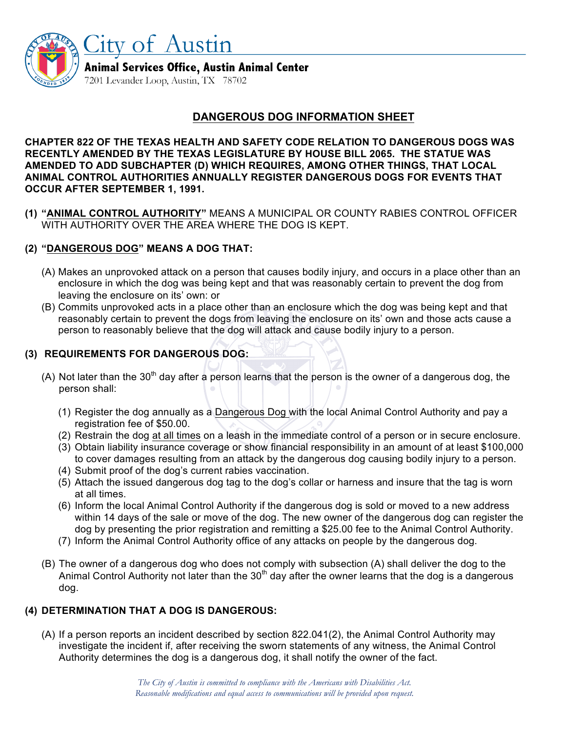

Animal Services Office, Austin Animal Center

7201 Levander Loop, Austin, TX 78702

City of Austin

## **DANGEROUS DOG INFORMATION SHEET**

**CHAPTER 822 OF THE TEXAS HEALTH AND SAFETY CODE RELATION TO DANGEROUS DOGS WAS RECENTLY AMENDED BY THE TEXAS LEGISLATURE BY HOUSE BILL 2065. THE STATUE WAS AMENDED TO ADD SUBCHAPTER (D) WHICH REQUIRES, AMONG OTHER THINGS, THAT LOCAL ANIMAL CONTROL AUTHORITIES ANNUALLY REGISTER DANGEROUS DOGS FOR EVENTS THAT OCCUR AFTER SEPTEMBER 1, 1991.**

**(1) "ANIMAL CONTROL AUTHORITY"** MEANS A MUNICIPAL OR COUNTY RABIES CONTROL OFFICER WITH AUTHORITY OVER THE AREA WHERE THE DOG IS KEPT.

### **(2) "DANGEROUS DOG" MEANS A DOG THAT:**

- (A) Makes an unprovoked attack on a person that causes bodily injury, and occurs in a place other than an enclosure in which the dog was being kept and that was reasonably certain to prevent the dog from leaving the enclosure on its' own: or
- (B) Commits unprovoked acts in a place other than an enclosure which the dog was being kept and that reasonably certain to prevent the dogs from leaving the enclosure on its' own and those acts cause a person to reasonably believe that the dog will attack and cause bodily injury to a person.

### **(3) REQUIREMENTS FOR DANGEROUS DOG:**

- (A) Not later than the 30<sup>th</sup> day after a person learns that the person is the owner of a dangerous dog, the person shall:
	- (1) Register the dog annually as a Dangerous Dog with the local Animal Control Authority and pay a registration fee of \$50.00.
	- (2) Restrain the dog at all times on a leash in the immediate control of a person or in secure enclosure.
	- (3) Obtain liability insurance coverage or show financial responsibility in an amount of at least \$100,000 to cover damages resulting from an attack by the dangerous dog causing bodily injury to a person.
	- (4) Submit proof of the dog's current rabies vaccination.
	- (5) Attach the issued dangerous dog tag to the dog's collar or harness and insure that the tag is worn at all times.
	- (6) Inform the local Animal Control Authority if the dangerous dog is sold or moved to a new address within 14 days of the sale or move of the dog. The new owner of the dangerous dog can register the dog by presenting the prior registration and remitting a \$25.00 fee to the Animal Control Authority.
	- (7) Inform the Animal Control Authority office of any attacks on people by the dangerous dog.
- (B) The owner of a dangerous dog who does not comply with subsection (A) shall deliver the dog to the Animal Control Authority not later than the 30<sup>th</sup> day after the owner learns that the dog is a dangerous dog.

### **(4) DETERMINATION THAT A DOG IS DANGEROUS:**

(A) If a person reports an incident described by section 822.041(2), the Animal Control Authority may investigate the incident if, after receiving the sworn statements of any witness, the Animal Control Authority determines the dog is a dangerous dog, it shall notify the owner of the fact.